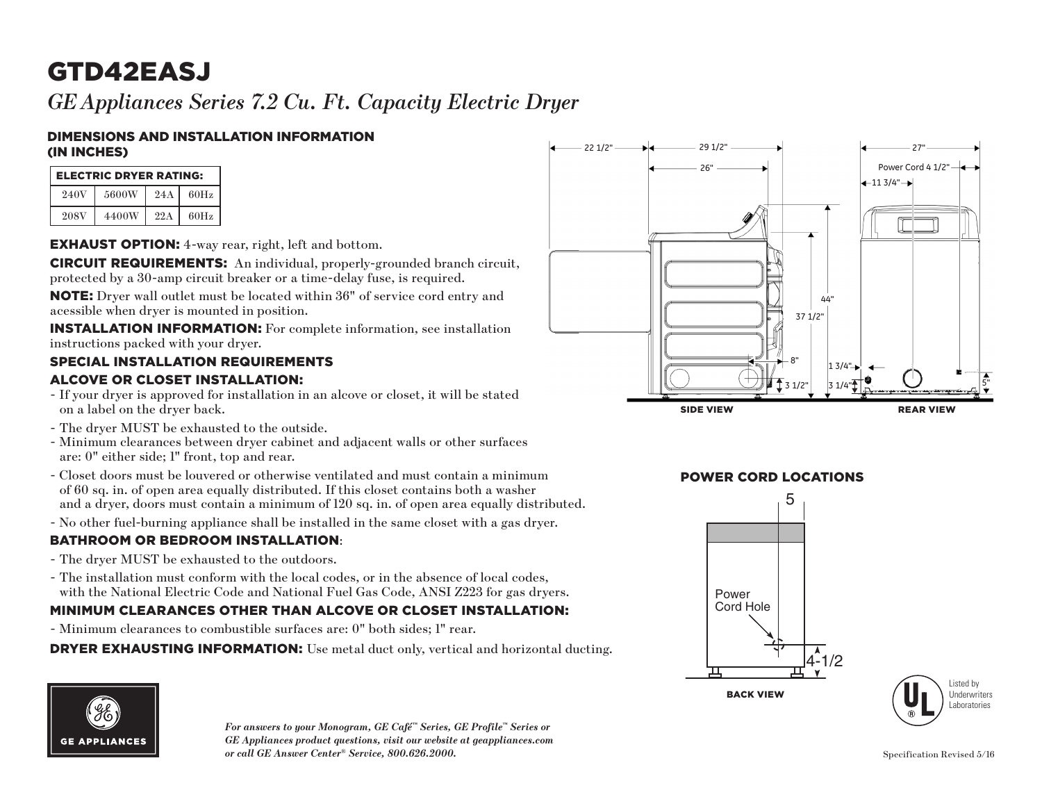# GTD42EASJ

*GEAppliances Series 7.2 Cu. Ft. Capacity Electric Dryer*

#### DIMENSIONS AND INSTALLATION INFORMATION (IN INCHES)

| <b>ELECTRIC DRYER RATING:</b> |       |     |      |  |  |
|-------------------------------|-------|-----|------|--|--|
| 240V                          | 5600W | 24A | 60Hz |  |  |
| 208V                          | 4400W | 22A | 60Hz |  |  |

EXHAUST OPTION: 4-way rear, right, left and bottom.

CIRCUIT REQUIREMENTS: An individual, properly-grounded branch circuit, protected by a 30-amp circuit breaker or a time-delay fuse, is required.

NOTE: Dryer wall outlet must be located within 36" of service cord entry and acessible when dryer is mounted in position.

INSTALLATION INFORMATION: For complete information, see installation instructions packed with your dryer.

#### SPECIAL INSTALLATION REQUIREMENTS

#### ALCOVE OR CLOSET INSTALLATION:

- If your dryer is approved for installation in an alcove or closet, it will be stated on a label on the dryer back.
- The dryer MUST be exhausted to the outside.
- Minimum clearances between dryer cabinet and adjacent walls or other surfaces are: 0" either side; 1" front, top and rear.
- Closet doors must be louvered or otherwise ventilated and must contain a minimum 2 and a dryer, doors must contain a minimum of 120 sq. in. of open area equally distributed. of 60 sq. in. of open area equally distributed. If this closet contains both a washer
- No other fuel-burning appliance shall be installed in the same closet with a gas dryer.

#### BATHROOM OR BEDROOM INSTALLATION:

- The dryer MUST be exhausted to the outdoors.
- with the National Electric Code and National Fuel Gas Code, ANSI Z223 for gas dryers. - The installation must conform with the local codes, or in the absence of local codes,

### MINIMUM CLEARANCES OTHER THAN ALCOVE OR CLOSET INSTALLATION:

- Minimum clearances to combustible surfaces are: 0" both sides; 1" rear.

DRYER EXHAUSTING INFORMATION: Use metal duct only, vertical and horizontal ducting.



*For answers to your Monogram, GE Café™ Series, GE Profile™ Series or GE Appliances product questions, visit our website at geappliances.com or call GE Answer Center® Service, 800.626.2000.* Specification Revised 5/16



### **POWER CORD LOCATIONS**



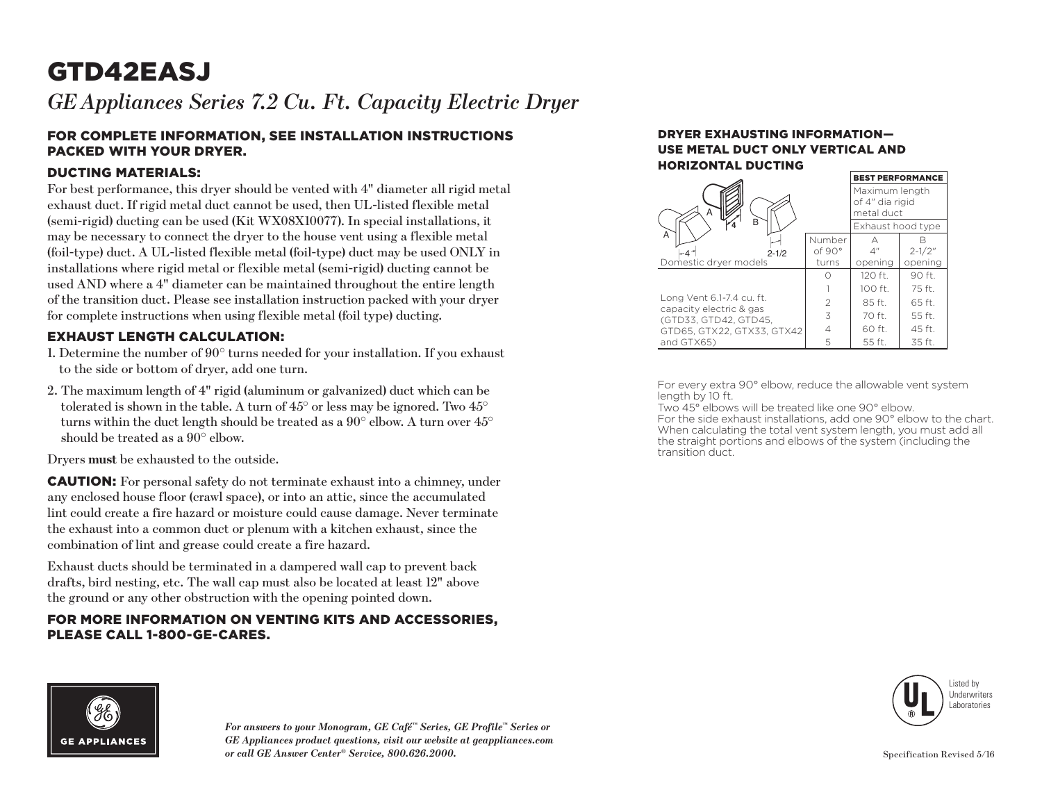# GTD42EASJ

*GEAppliances Series 7.2 Cu. Ft. Capacity Electric Dryer*

#### FOR COMPLETE INFORMATION, SEE INSTALLATION INSTRUCTIONS PACKED WITH YOUR DRYER.

#### DUCTING MATERIALS:

For best performance, this dryer should be vented with 4" diameter all rigid metal exhaust duct. If rigid metal duct cannot be used, then UL-listed flexible metal (semi-rigid) ducting can be used (Kit WX08X10077). In special installations, it may be necessary to connect the dryer to the house vent using a flexible metal (foil-type) duct. A UL-listed flexible metal (foil-type) duct may be used ONLY in installations where rigid metal or flexible metal (semi-rigid) ducting cannot be used AND where a 4" diameter can be maintained throughout the entire length of the transition duct. Please see installation instruction packed with your dryer for complete instructions when using flexible metal (foil type) ducting.

#### EXHAUST LENGTH CALCULATION:

- 1. Determine the number of 90° turns needed for your installation. If you exhaust to the side or bottom of dryer, add one turn.
- 2. The maximum length of 4" rigid (aluminum or galvanized) duct which can be tolerated is shown in the table. A turn of 45° or less may be ignored. Two 45° turns within the duct length should be treated as a  $90^{\circ}$  elbow. A turn over  $45^{\circ}$ should be treated as a 90° elbow.

Dryers **must** be exhausted to the outside.

CAUTION: For personal safety do not terminate exhaust into a chimney, under any enclosed house floor (crawl space), or into an attic, since the accumulated lint could create a fire hazard or moisture could cause damage. Never terminate the exhaust into a common duct or plenum with a kitchen exhaust, since the combination of lint and grease could create a fire hazard.

Exhaust ducts should be terminated in a dampered wall cap to prevent back drafts, bird nesting, etc. The wall cap must also be located at least 12" above the ground or any other obstruction with the opening pointed down.

#### FOR MORE INFORMATION ON VENTING KITS AND ACCESSORIES, PLEASE CALL 1-800-GE-CARES.

#### DRYER EXHAUSTING INFORMATION— USE METAL DUCT ONLY VERTICAL AND HORIZONTAL DUCTING BEST PERFORMANCE.

|                                                      | <b>BEST PERFORMANCE</b>                         |                   |             |
|------------------------------------------------------|-------------------------------------------------|-------------------|-------------|
| А                                                    | Maximum length<br>of 4" dia rigid<br>metal duct |                   |             |
| B                                                    |                                                 | Exhaust hood type |             |
| A                                                    | Number                                          | А                 |             |
| $2 - 1/2$                                            | of 90°                                          | 4 <sup>''</sup>   | $2 - 1/2$ " |
| Domestic dryer models                                | turns                                           | opening           | opening     |
|                                                      |                                                 | 120 ft.           | 90 ft.      |
|                                                      |                                                 | 100 ft.           | 75 ft.      |
| Long Vent 6.1-7.4 cu. ft.<br>capacity electric & gas | $\mathfrak{D}$                                  | 85 ft.            | 65 ft.      |
| (GTD33, GTD42, GTD45,                                | 3                                               | 70 ft.            | 55 ft.      |
| GTD65, GTX22, GTX33, GTX42                           | 4                                               | 60 ft.            | 45 ft.      |
| and GTX65)                                           | 5                                               | 55 ft.            | 35 ft.      |

For every extra 90° elbow, reduce the allowable vent system length by 10 ft.

Two 45° elbows will be treated like one 90° elbow. For the side exhaust installations, add one 90° elbow to the chart. When calculating the total vent system length, you must add all the straight portions and elbows of the system (including the transition duct.